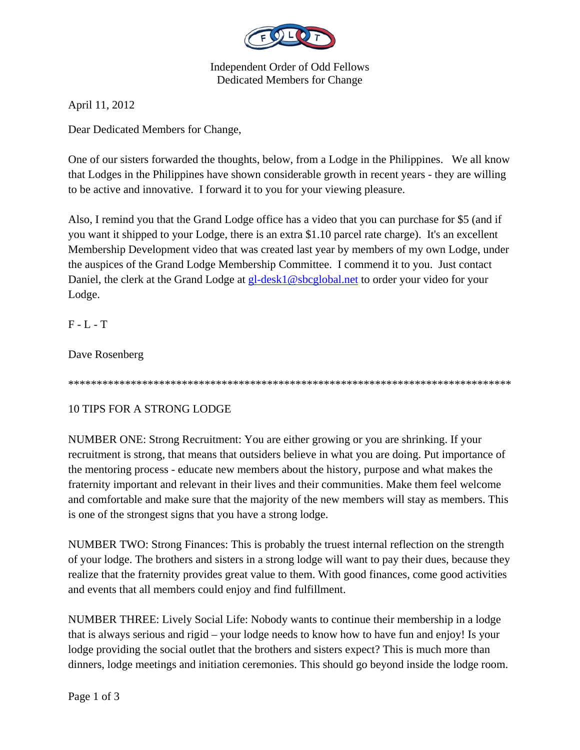

Independent Order of Odd Fellows Dedicated Members for Change

April 11, 2012

Dear Dedicated Members for Change,

One of our sisters forwarded the thoughts, below, from a Lodge in the Philippines. We all know that Lodges in the Philippines have shown considerable growth in recent years - they are willing to be active and innovative. I forward it to you for your viewing pleasure.

Also, I remind you that the Grand Lodge office has a video that you can purchase for \$5 (and if you want it shipped to your Lodge, there is an extra \$1.10 parcel rate charge). It's an excellent Membership Development video that was created last year by members of my own Lodge, under the auspices of the Grand Lodge Membership Committee. I commend it to you. Just contact Daniel, the clerk at the Grand Lodge at **gl-desk1@sbcglobal.net** to order your video for your Lodge.

F - L - T

Dave Rosenberg

\*\*\*\*\*\*\*\*\*\*\*\*\*\*\*\*\*\*\*\*\*\*\*\*\*\*\*\*\*\*\*\*\*\*\*\*\*\*\*\*\*\*\*\*\*\*\*\*\*\*\*\*\*\*\*\*\*\*\*\*\*\*\*\*\*\*\*\*\*\*\*\*\*\*\*\*\*\*

## 10 TIPS FOR A STRONG LODGE

NUMBER ONE: Strong Recruitment: You are either growing or you are shrinking. If your recruitment is strong, that means that outsiders believe in what you are doing. Put importance of the mentoring process - educate new members about the history, purpose and what makes the fraternity important and relevant in their lives and their communities. Make them feel welcome and comfortable and make sure that the majority of the new members will stay as members. This is one of the strongest signs that you have a strong lodge.

NUMBER TWO: Strong Finances: This is probably the truest internal reflection on the strength of your lodge. The brothers and sisters in a strong lodge will want to pay their dues, because they realize that the fraternity provides great value to them. With good finances, come good activities and events that all members could enjoy and find fulfillment.

NUMBER THREE: Lively Social Life: Nobody wants to continue their membership in a lodge that is always serious and rigid – your lodge needs to know how to have fun and enjoy! Is your lodge providing the social outlet that the brothers and sisters expect? This is much more than dinners, lodge meetings and initiation ceremonies. This should go beyond inside the lodge room.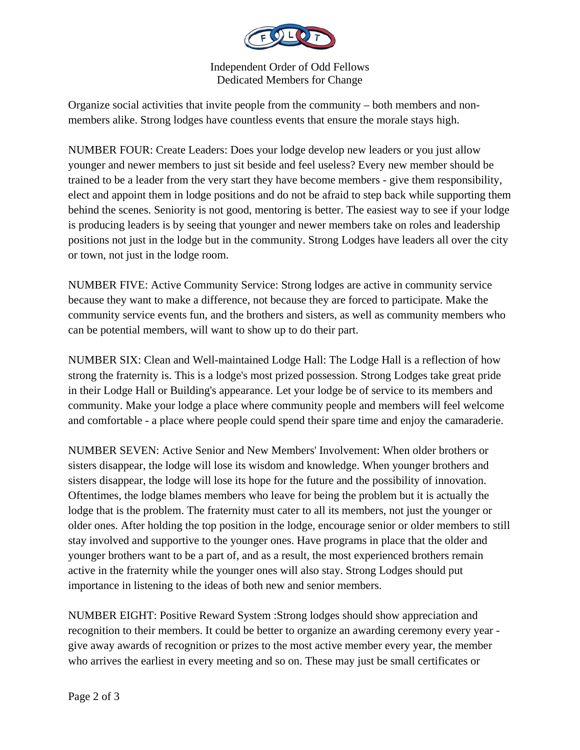

Independent Order of Odd Fellows Dedicated Members for Change

Organize social activities that invite people from the community – both members and nonmembers alike. Strong lodges have countless events that ensure the morale stays high.

NUMBER FOUR: Create Leaders: Does your lodge develop new leaders or you just allow younger and newer members to just sit beside and feel useless? Every new member should be trained to be a leader from the very start they have become members - give them responsibility, elect and appoint them in lodge positions and do not be afraid to step back while supporting them behind the scenes. Seniority is not good, mentoring is better. The easiest way to see if your lodge is producing leaders is by seeing that younger and newer members take on roles and leadership positions not just in the lodge but in the community. Strong Lodges have leaders all over the city or town, not just in the lodge room.

NUMBER FIVE: Active Community Service: Strong lodges are active in community service because they want to make a difference, not because they are forced to participate. Make the community service events fun, and the brothers and sisters, as well as community members who can be potential members, will want to show up to do their part.

NUMBER SIX: Clean and Well-maintained Lodge Hall: The Lodge Hall is a reflection of how strong the fraternity is. This is a lodge's most prized possession. Strong Lodges take great pride in their Lodge Hall or Building's appearance. Let your lodge be of service to its members and community. Make your lodge a place where community people and members will feel welcome and comfortable - a place where people could spend their spare time and enjoy the camaraderie.

NUMBER SEVEN: Active Senior and New Members' Involvement: When older brothers or sisters disappear, the lodge will lose its wisdom and knowledge. When younger brothers and sisters disappear, the lodge will lose its hope for the future and the possibility of innovation. Oftentimes, the lodge blames members who leave for being the problem but it is actually the lodge that is the problem. The fraternity must cater to all its members, not just the younger or older ones. After holding the top position in the lodge, encourage senior or older members to still stay involved and supportive to the younger ones. Have programs in place that the older and younger brothers want to be a part of, and as a result, the most experienced brothers remain active in the fraternity while the younger ones will also stay. Strong Lodges should put importance in listening to the ideas of both new and senior members.

NUMBER EIGHT: Positive Reward System :Strong lodges should show appreciation and recognition to their members. It could be better to organize an awarding ceremony every year give away awards of recognition or prizes to the most active member every year, the member who arrives the earliest in every meeting and so on. These may just be small certificates or